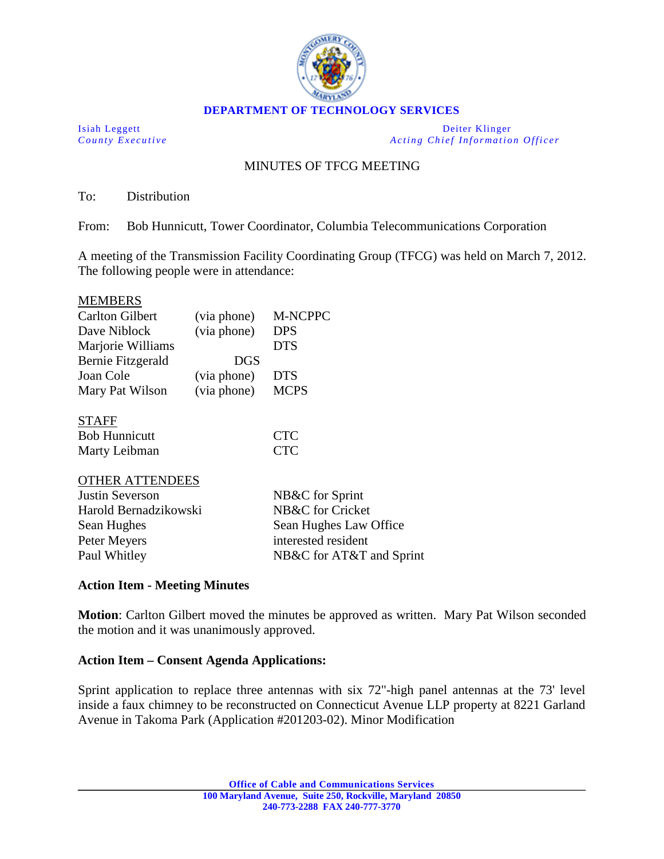

**DEPARTMENT OF TECHNOLOGY SERVICES**

Isiah Leggett Deiter Klinger *County Executive Acting Chief Information Officer*

# MINUTES OF TFCG MEETING

To: Distribution

From: Bob Hunnicutt, Tower Coordinator, Columbia Telecommunications Corporation

A meeting of the Transmission Facility Coordinating Group (TFCG) was held on March 7, 2012. The following people were in attendance:

#### MEMBERS

| <b>Carlton Gilbert</b> | (via phone) | M-NCPPC                  |
|------------------------|-------------|--------------------------|
| Dave Niblock           | (via phone) | <b>DPS</b>               |
| Marjorie Williams      |             | <b>DTS</b>               |
| Bernie Fitzgerald      | <b>DGS</b>  |                          |
| Joan Cole              | (via phone) | <b>DTS</b>               |
| Mary Pat Wilson        | (via phone) | <b>MCPS</b>              |
|                        |             |                          |
| <b>STAFF</b>           |             |                          |
| <b>Bob Hunnicutt</b>   |             | <b>CTC</b>               |
| Marty Leibman          |             | <b>CTC</b>               |
|                        |             |                          |
| <b>OTHER ATTENDEES</b> |             |                          |
| Justin Severson        |             | NB&C for Sprint          |
| Harold Bernadzikowski  |             | NB&C for Cricket         |
| Sean Hughes            |             | Sean Hughes Law Office   |
| Peter Meyers           |             | interested resident      |
| Paul Whitley           |             | NB&C for AT&T and Sprint |

## **Action Item - Meeting Minutes**

**Motion**: Carlton Gilbert moved the minutes be approved as written. Mary Pat Wilson seconded the motion and it was unanimously approved.

## **Action Item – Consent Agenda Applications:**

Sprint application to replace three antennas with six 72"-high panel antennas at the 73' level inside a faux chimney to be reconstructed on Connecticut Avenue LLP property at 8221 Garland Avenue in Takoma Park (Application #201203-02). Minor Modification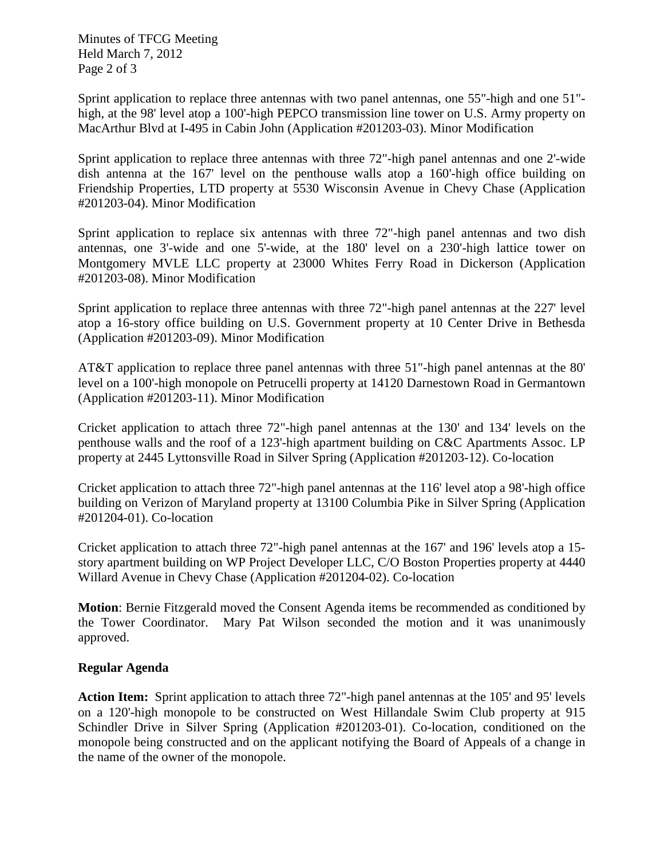Minutes of TFCG Meeting Held March 7, 2012 Page 2 of 3

Sprint application to replace three antennas with two panel antennas, one 55"-high and one 51" high, at the 98' level atop a 100'-high PEPCO transmission line tower on U.S. Army property on MacArthur Blvd at I-495 in Cabin John (Application #201203-03). Minor Modification

Sprint application to replace three antennas with three 72"-high panel antennas and one 2'-wide dish antenna at the 167' level on the penthouse walls atop a 160'-high office building on Friendship Properties, LTD property at 5530 Wisconsin Avenue in Chevy Chase (Application #201203-04). Minor Modification

Sprint application to replace six antennas with three 72"-high panel antennas and two dish antennas, one 3'-wide and one 5'-wide, at the 180' level on a 230'-high lattice tower on Montgomery MVLE LLC property at 23000 Whites Ferry Road in Dickerson (Application #201203-08). Minor Modification

Sprint application to replace three antennas with three 72"-high panel antennas at the 227' level atop a 16-story office building on U.S. Government property at 10 Center Drive in Bethesda (Application #201203-09). Minor Modification

AT&T application to replace three panel antennas with three 51"-high panel antennas at the 80' level on a 100'-high monopole on Petrucelli property at 14120 Darnestown Road in Germantown (Application #201203-11). Minor Modification

Cricket application to attach three 72"-high panel antennas at the 130' and 134' levels on the penthouse walls and the roof of a 123'-high apartment building on C&C Apartments Assoc. LP property at 2445 Lyttonsville Road in Silver Spring (Application #201203-12). Co-location

Cricket application to attach three 72"-high panel antennas at the 116' level atop a 98'-high office building on Verizon of Maryland property at 13100 Columbia Pike in Silver Spring (Application #201204-01). Co-location

Cricket application to attach three 72"-high panel antennas at the 167' and 196' levels atop a 15 story apartment building on WP Project Developer LLC, C/O Boston Properties property at 4440 Willard Avenue in Chevy Chase (Application #201204-02). Co-location

**Motion**: Bernie Fitzgerald moved the Consent Agenda items be recommended as conditioned by the Tower Coordinator. Mary Pat Wilson seconded the motion and it was unanimously approved.

## **Regular Agenda**

**Action Item:** Sprint application to attach three 72"-high panel antennas at the 105' and 95' levels on a 120'-high monopole to be constructed on West Hillandale Swim Club property at 915 Schindler Drive in Silver Spring (Application #201203-01). Co-location, conditioned on the monopole being constructed and on the applicant notifying the Board of Appeals of a change in the name of the owner of the monopole.